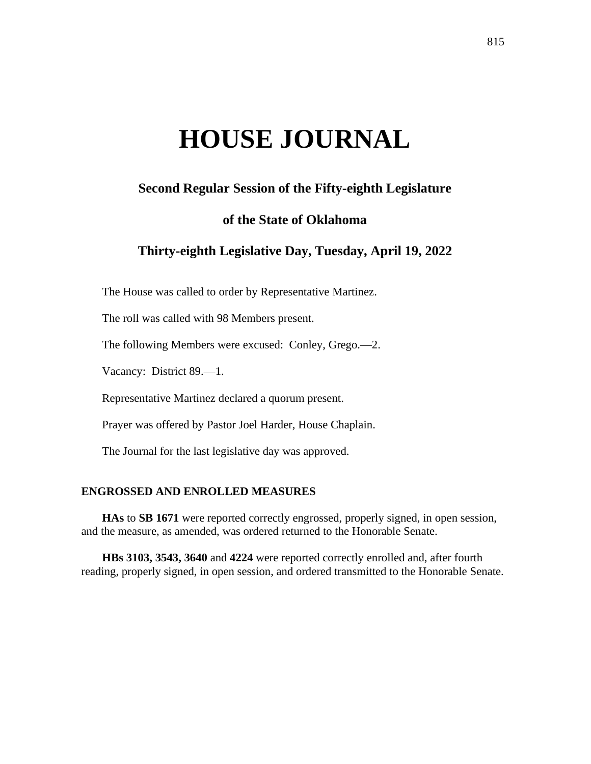# **HOUSE JOURNAL**

# **Second Regular Session of the Fifty-eighth Legislature**

# **of the State of Oklahoma**

# **Thirty-eighth Legislative Day, Tuesday, April 19, 2022**

The House was called to order by Representative Martinez.

The roll was called with 98 Members present.

The following Members were excused: Conley, Grego.—2.

Vacancy: District 89.—1.

Representative Martinez declared a quorum present.

Prayer was offered by Pastor Joel Harder, House Chaplain.

The Journal for the last legislative day was approved.

#### **ENGROSSED AND ENROLLED MEASURES**

**HAs** to **SB 1671** were reported correctly engrossed, properly signed, in open session, and the measure, as amended, was ordered returned to the Honorable Senate.

**HBs 3103, 3543, 3640** and **4224** were reported correctly enrolled and, after fourth reading, properly signed, in open session, and ordered transmitted to the Honorable Senate.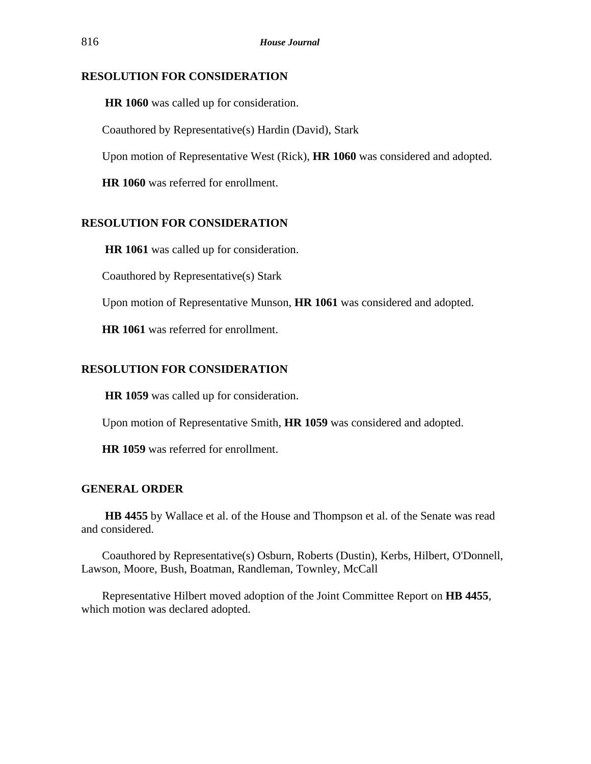# **RESOLUTION FOR CONSIDERATION**

**HR 1060** was called up for consideration.

Coauthored by Representative(s) Hardin (David), Stark

Upon motion of Representative West (Rick), **HR 1060** was considered and adopted.

**HR 1060** was referred for enrollment.

# **RESOLUTION FOR CONSIDERATION**

**HR 1061** was called up for consideration.

Coauthored by Representative(s) Stark

Upon motion of Representative Munson, **HR 1061** was considered and adopted.

**HR 1061** was referred for enrollment.

# **RESOLUTION FOR CONSIDERATION**

**HR 1059** was called up for consideration.

Upon motion of Representative Smith, **HR 1059** was considered and adopted.

**HR 1059** was referred for enrollment.

## **GENERAL ORDER**

**HB 4455** by Wallace et al. of the House and Thompson et al. of the Senate was read and considered.

Coauthored by Representative(s) Osburn, Roberts (Dustin), Kerbs, Hilbert, O'Donnell, Lawson, Moore, Bush, Boatman, Randleman, Townley, McCall

Representative Hilbert moved adoption of the Joint Committee Report on **HB 4455**, which motion was declared adopted.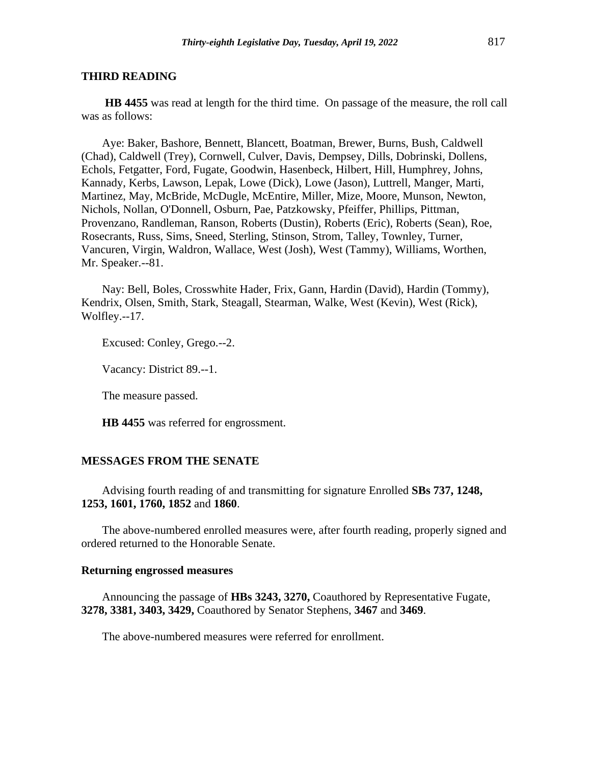**HB 4455** was read at length for the third time. On passage of the measure, the roll call was as follows:

Aye: Baker, Bashore, Bennett, Blancett, Boatman, Brewer, Burns, Bush, Caldwell (Chad), Caldwell (Trey), Cornwell, Culver, Davis, Dempsey, Dills, Dobrinski, Dollens, Echols, Fetgatter, Ford, Fugate, Goodwin, Hasenbeck, Hilbert, Hill, Humphrey, Johns, Kannady, Kerbs, Lawson, Lepak, Lowe (Dick), Lowe (Jason), Luttrell, Manger, Marti, Martinez, May, McBride, McDugle, McEntire, Miller, Mize, Moore, Munson, Newton, Nichols, Nollan, O'Donnell, Osburn, Pae, Patzkowsky, Pfeiffer, Phillips, Pittman, Provenzano, Randleman, Ranson, Roberts (Dustin), Roberts (Eric), Roberts (Sean), Roe, Rosecrants, Russ, Sims, Sneed, Sterling, Stinson, Strom, Talley, Townley, Turner, Vancuren, Virgin, Waldron, Wallace, West (Josh), West (Tammy), Williams, Worthen, Mr. Speaker.--81.

Nay: Bell, Boles, Crosswhite Hader, Frix, Gann, Hardin (David), Hardin (Tommy), Kendrix, Olsen, Smith, Stark, Steagall, Stearman, Walke, West (Kevin), West (Rick), Wolfley.--17.

Excused: Conley, Grego.--2.

Vacancy: District 89.--1.

The measure passed.

**HB 4455** was referred for engrossment.

#### **MESSAGES FROM THE SENATE**

Advising fourth reading of and transmitting for signature Enrolled **SBs 737, 1248, 1253, 1601, 1760, 1852** and **1860**.

The above-numbered enrolled measures were, after fourth reading, properly signed and ordered returned to the Honorable Senate.

# **Returning engrossed measures**

Announcing the passage of **HBs 3243, 3270,** Coauthored by Representative Fugate, **3278, 3381, 3403, 3429,** Coauthored by Senator Stephens, **3467** and **3469**.

The above-numbered measures were referred for enrollment.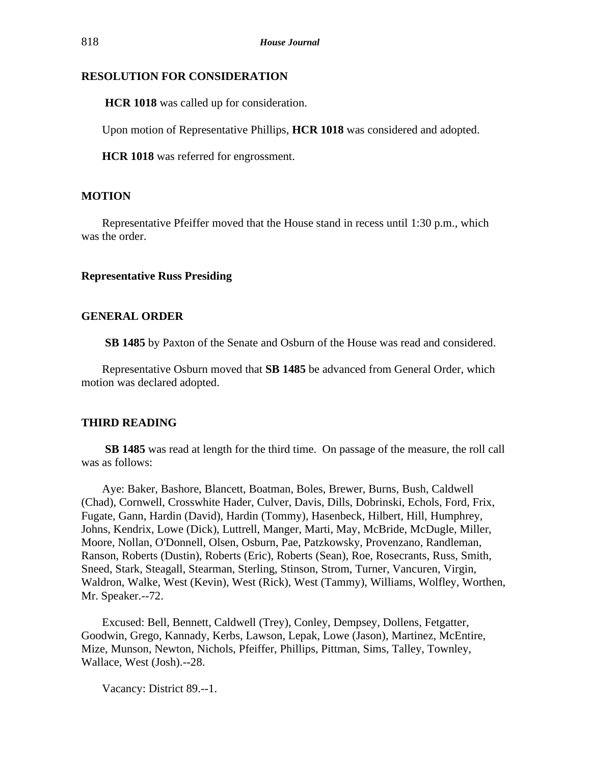# **RESOLUTION FOR CONSIDERATION**

**HCR 1018** was called up for consideration.

Upon motion of Representative Phillips, **HCR 1018** was considered and adopted.

**HCR 1018** was referred for engrossment.

# **MOTION**

Representative Pfeiffer moved that the House stand in recess until 1:30 p.m., which was the order.

# **Representative Russ Presiding**

## **GENERAL ORDER**

**SB 1485** by Paxton of the Senate and Osburn of the House was read and considered.

Representative Osburn moved that **SB 1485** be advanced from General Order, which motion was declared adopted.

## **THIRD READING**

**SB 1485** was read at length for the third time. On passage of the measure, the roll call was as follows:

Aye: Baker, Bashore, Blancett, Boatman, Boles, Brewer, Burns, Bush, Caldwell (Chad), Cornwell, Crosswhite Hader, Culver, Davis, Dills, Dobrinski, Echols, Ford, Frix, Fugate, Gann, Hardin (David), Hardin (Tommy), Hasenbeck, Hilbert, Hill, Humphrey, Johns, Kendrix, Lowe (Dick), Luttrell, Manger, Marti, May, McBride, McDugle, Miller, Moore, Nollan, O'Donnell, Olsen, Osburn, Pae, Patzkowsky, Provenzano, Randleman, Ranson, Roberts (Dustin), Roberts (Eric), Roberts (Sean), Roe, Rosecrants, Russ, Smith, Sneed, Stark, Steagall, Stearman, Sterling, Stinson, Strom, Turner, Vancuren, Virgin, Waldron, Walke, West (Kevin), West (Rick), West (Tammy), Williams, Wolfley, Worthen, Mr. Speaker.--72.

Excused: Bell, Bennett, Caldwell (Trey), Conley, Dempsey, Dollens, Fetgatter, Goodwin, Grego, Kannady, Kerbs, Lawson, Lepak, Lowe (Jason), Martinez, McEntire, Mize, Munson, Newton, Nichols, Pfeiffer, Phillips, Pittman, Sims, Talley, Townley, Wallace, West (Josh).--28.

Vacancy: District 89.--1.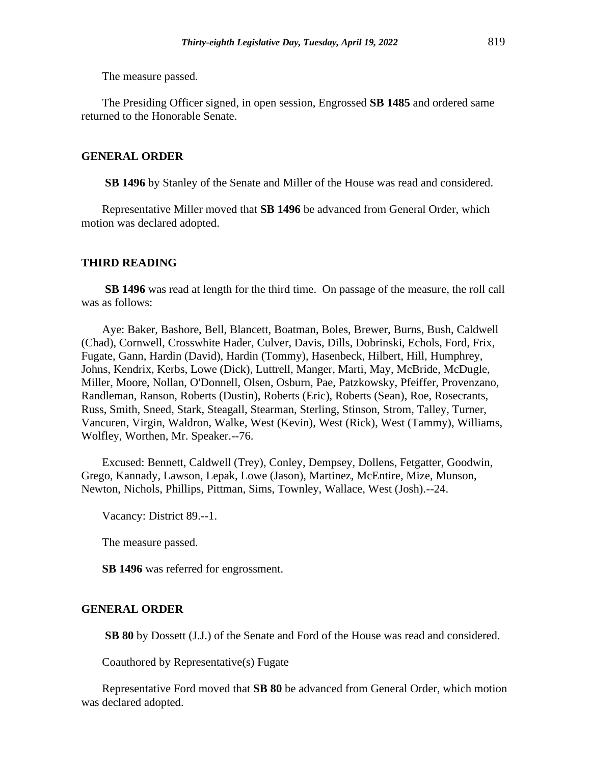The measure passed.

The Presiding Officer signed, in open session, Engrossed **SB 1485** and ordered same returned to the Honorable Senate.

### **GENERAL ORDER**

**SB 1496** by Stanley of the Senate and Miller of the House was read and considered.

Representative Miller moved that **SB 1496** be advanced from General Order, which motion was declared adopted.

#### **THIRD READING**

**SB 1496** was read at length for the third time. On passage of the measure, the roll call was as follows:

Aye: Baker, Bashore, Bell, Blancett, Boatman, Boles, Brewer, Burns, Bush, Caldwell (Chad), Cornwell, Crosswhite Hader, Culver, Davis, Dills, Dobrinski, Echols, Ford, Frix, Fugate, Gann, Hardin (David), Hardin (Tommy), Hasenbeck, Hilbert, Hill, Humphrey, Johns, Kendrix, Kerbs, Lowe (Dick), Luttrell, Manger, Marti, May, McBride, McDugle, Miller, Moore, Nollan, O'Donnell, Olsen, Osburn, Pae, Patzkowsky, Pfeiffer, Provenzano, Randleman, Ranson, Roberts (Dustin), Roberts (Eric), Roberts (Sean), Roe, Rosecrants, Russ, Smith, Sneed, Stark, Steagall, Stearman, Sterling, Stinson, Strom, Talley, Turner, Vancuren, Virgin, Waldron, Walke, West (Kevin), West (Rick), West (Tammy), Williams, Wolfley, Worthen, Mr. Speaker.--76.

Excused: Bennett, Caldwell (Trey), Conley, Dempsey, Dollens, Fetgatter, Goodwin, Grego, Kannady, Lawson, Lepak, Lowe (Jason), Martinez, McEntire, Mize, Munson, Newton, Nichols, Phillips, Pittman, Sims, Townley, Wallace, West (Josh).--24.

Vacancy: District 89.--1.

The measure passed.

**SB 1496** was referred for engrossment.

#### **GENERAL ORDER**

**SB 80** by Dossett (J.J.) of the Senate and Ford of the House was read and considered.

Coauthored by Representative(s) Fugate

Representative Ford moved that **SB 80** be advanced from General Order, which motion was declared adopted.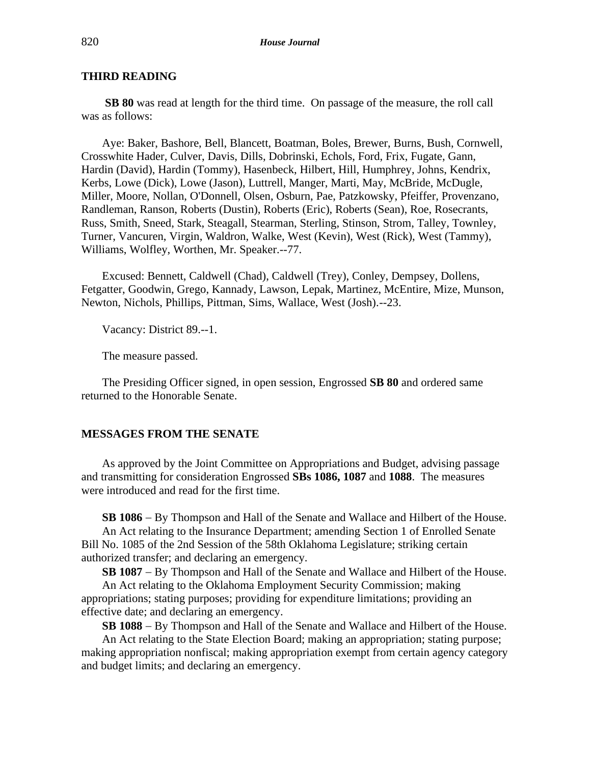**SB 80** was read at length for the third time. On passage of the measure, the roll call was as follows:

Aye: Baker, Bashore, Bell, Blancett, Boatman, Boles, Brewer, Burns, Bush, Cornwell, Crosswhite Hader, Culver, Davis, Dills, Dobrinski, Echols, Ford, Frix, Fugate, Gann, Hardin (David), Hardin (Tommy), Hasenbeck, Hilbert, Hill, Humphrey, Johns, Kendrix, Kerbs, Lowe (Dick), Lowe (Jason), Luttrell, Manger, Marti, May, McBride, McDugle, Miller, Moore, Nollan, O'Donnell, Olsen, Osburn, Pae, Patzkowsky, Pfeiffer, Provenzano, Randleman, Ranson, Roberts (Dustin), Roberts (Eric), Roberts (Sean), Roe, Rosecrants, Russ, Smith, Sneed, Stark, Steagall, Stearman, Sterling, Stinson, Strom, Talley, Townley, Turner, Vancuren, Virgin, Waldron, Walke, West (Kevin), West (Rick), West (Tammy), Williams, Wolfley, Worthen, Mr. Speaker.--77.

Excused: Bennett, Caldwell (Chad), Caldwell (Trey), Conley, Dempsey, Dollens, Fetgatter, Goodwin, Grego, Kannady, Lawson, Lepak, Martinez, McEntire, Mize, Munson, Newton, Nichols, Phillips, Pittman, Sims, Wallace, West (Josh).--23.

Vacancy: District 89.--1.

The measure passed.

The Presiding Officer signed, in open session, Engrossed **SB 80** and ordered same returned to the Honorable Senate.

#### **MESSAGES FROM THE SENATE**

As approved by the Joint Committee on Appropriations and Budget, advising passage and transmitting for consideration Engrossed **SBs 1086, 1087** and **1088**. The measures were introduced and read for the first time.

**SB 1086** − By Thompson and Hall of the Senate and Wallace and Hilbert of the House.

An Act relating to the Insurance Department; amending Section 1 of Enrolled Senate Bill No. 1085 of the 2nd Session of the 58th Oklahoma Legislature; striking certain authorized transfer; and declaring an emergency.

**SB 1087** − By Thompson and Hall of the Senate and Wallace and Hilbert of the House.

An Act relating to the Oklahoma Employment Security Commission; making appropriations; stating purposes; providing for expenditure limitations; providing an effective date; and declaring an emergency.

**SB 1088** − By Thompson and Hall of the Senate and Wallace and Hilbert of the House.

An Act relating to the State Election Board; making an appropriation; stating purpose; making appropriation nonfiscal; making appropriation exempt from certain agency category and budget limits; and declaring an emergency.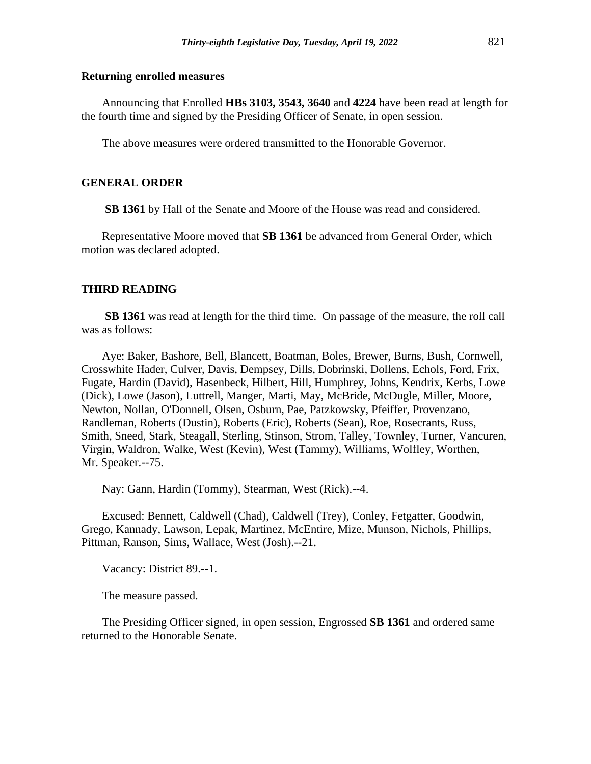#### **Returning enrolled measures**

Announcing that Enrolled **HBs 3103, 3543, 3640** and **4224** have been read at length for the fourth time and signed by the Presiding Officer of Senate, in open session.

The above measures were ordered transmitted to the Honorable Governor.

#### **GENERAL ORDER**

**SB 1361** by Hall of the Senate and Moore of the House was read and considered.

Representative Moore moved that **SB 1361** be advanced from General Order, which motion was declared adopted.

# **THIRD READING**

**SB 1361** was read at length for the third time. On passage of the measure, the roll call was as follows:

Aye: Baker, Bashore, Bell, Blancett, Boatman, Boles, Brewer, Burns, Bush, Cornwell, Crosswhite Hader, Culver, Davis, Dempsey, Dills, Dobrinski, Dollens, Echols, Ford, Frix, Fugate, Hardin (David), Hasenbeck, Hilbert, Hill, Humphrey, Johns, Kendrix, Kerbs, Lowe (Dick), Lowe (Jason), Luttrell, Manger, Marti, May, McBride, McDugle, Miller, Moore, Newton, Nollan, O'Donnell, Olsen, Osburn, Pae, Patzkowsky, Pfeiffer, Provenzano, Randleman, Roberts (Dustin), Roberts (Eric), Roberts (Sean), Roe, Rosecrants, Russ, Smith, Sneed, Stark, Steagall, Sterling, Stinson, Strom, Talley, Townley, Turner, Vancuren, Virgin, Waldron, Walke, West (Kevin), West (Tammy), Williams, Wolfley, Worthen, Mr. Speaker.--75.

Nay: Gann, Hardin (Tommy), Stearman, West (Rick).--4.

Excused: Bennett, Caldwell (Chad), Caldwell (Trey), Conley, Fetgatter, Goodwin, Grego, Kannady, Lawson, Lepak, Martinez, McEntire, Mize, Munson, Nichols, Phillips, Pittman, Ranson, Sims, Wallace, West (Josh).--21.

Vacancy: District 89.--1.

The measure passed.

The Presiding Officer signed, in open session, Engrossed **SB 1361** and ordered same returned to the Honorable Senate.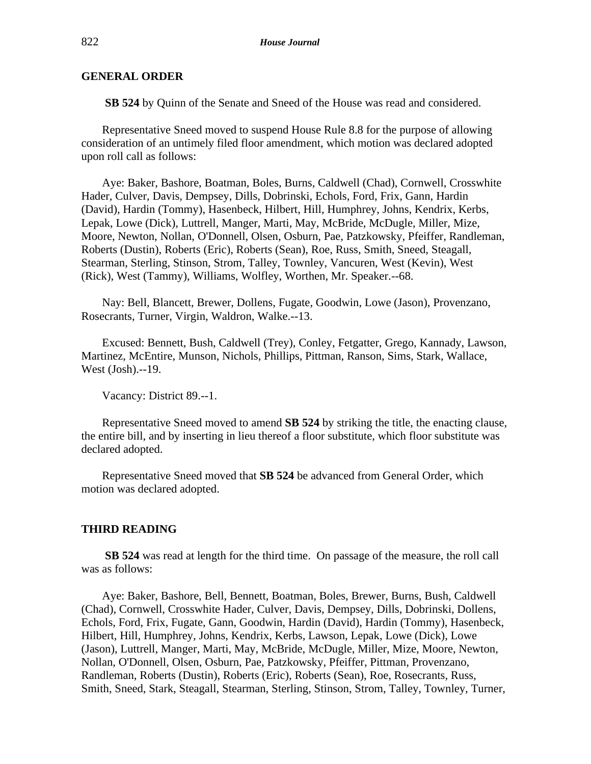# **GENERAL ORDER**

**SB 524** by Quinn of the Senate and Sneed of the House was read and considered.

Representative Sneed moved to suspend House Rule 8.8 for the purpose of allowing consideration of an untimely filed floor amendment, which motion was declared adopted upon roll call as follows:

Aye: Baker, Bashore, Boatman, Boles, Burns, Caldwell (Chad), Cornwell, Crosswhite Hader, Culver, Davis, Dempsey, Dills, Dobrinski, Echols, Ford, Frix, Gann, Hardin (David), Hardin (Tommy), Hasenbeck, Hilbert, Hill, Humphrey, Johns, Kendrix, Kerbs, Lepak, Lowe (Dick), Luttrell, Manger, Marti, May, McBride, McDugle, Miller, Mize, Moore, Newton, Nollan, O'Donnell, Olsen, Osburn, Pae, Patzkowsky, Pfeiffer, Randleman, Roberts (Dustin), Roberts (Eric), Roberts (Sean), Roe, Russ, Smith, Sneed, Steagall, Stearman, Sterling, Stinson, Strom, Talley, Townley, Vancuren, West (Kevin), West (Rick), West (Tammy), Williams, Wolfley, Worthen, Mr. Speaker.--68.

Nay: Bell, Blancett, Brewer, Dollens, Fugate, Goodwin, Lowe (Jason), Provenzano, Rosecrants, Turner, Virgin, Waldron, Walke.--13.

Excused: Bennett, Bush, Caldwell (Trey), Conley, Fetgatter, Grego, Kannady, Lawson, Martinez, McEntire, Munson, Nichols, Phillips, Pittman, Ranson, Sims, Stark, Wallace, West (Josh).--19.

Vacancy: District 89.--1.

Representative Sneed moved to amend **SB 524** by striking the title, the enacting clause, the entire bill, and by inserting in lieu thereof a floor substitute, which floor substitute was declared adopted.

Representative Sneed moved that **SB 524** be advanced from General Order, which motion was declared adopted.

#### **THIRD READING**

**SB 524** was read at length for the third time. On passage of the measure, the roll call was as follows:

Aye: Baker, Bashore, Bell, Bennett, Boatman, Boles, Brewer, Burns, Bush, Caldwell (Chad), Cornwell, Crosswhite Hader, Culver, Davis, Dempsey, Dills, Dobrinski, Dollens, Echols, Ford, Frix, Fugate, Gann, Goodwin, Hardin (David), Hardin (Tommy), Hasenbeck, Hilbert, Hill, Humphrey, Johns, Kendrix, Kerbs, Lawson, Lepak, Lowe (Dick), Lowe (Jason), Luttrell, Manger, Marti, May, McBride, McDugle, Miller, Mize, Moore, Newton, Nollan, O'Donnell, Olsen, Osburn, Pae, Patzkowsky, Pfeiffer, Pittman, Provenzano, Randleman, Roberts (Dustin), Roberts (Eric), Roberts (Sean), Roe, Rosecrants, Russ, Smith, Sneed, Stark, Steagall, Stearman, Sterling, Stinson, Strom, Talley, Townley, Turner,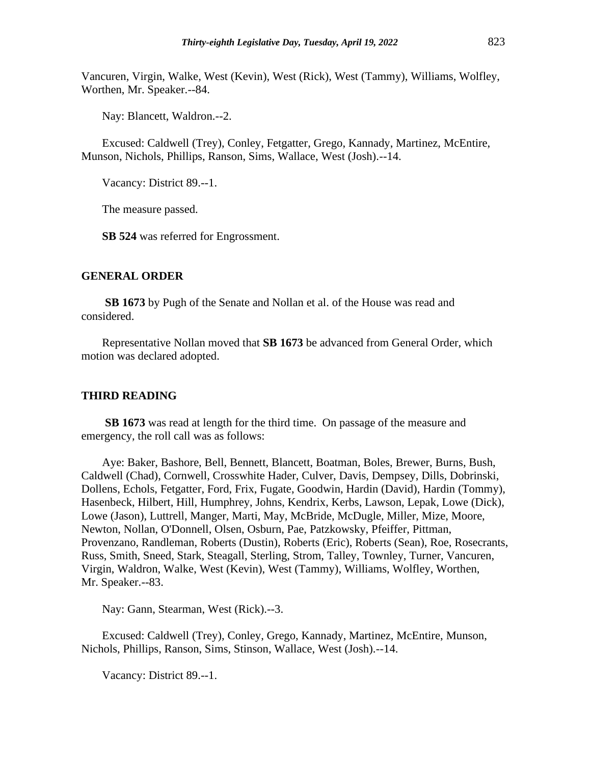Vancuren, Virgin, Walke, West (Kevin), West (Rick), West (Tammy), Williams, Wolfley, Worthen, Mr. Speaker.--84.

Nay: Blancett, Waldron.--2.

Excused: Caldwell (Trey), Conley, Fetgatter, Grego, Kannady, Martinez, McEntire, Munson, Nichols, Phillips, Ranson, Sims, Wallace, West (Josh).--14.

Vacancy: District 89.--1.

The measure passed.

**SB 524** was referred for Engrossment.

#### **GENERAL ORDER**

**SB 1673** by Pugh of the Senate and Nollan et al. of the House was read and considered.

Representative Nollan moved that **SB 1673** be advanced from General Order, which motion was declared adopted.

#### **THIRD READING**

**SB 1673** was read at length for the third time. On passage of the measure and emergency, the roll call was as follows:

Aye: Baker, Bashore, Bell, Bennett, Blancett, Boatman, Boles, Brewer, Burns, Bush, Caldwell (Chad), Cornwell, Crosswhite Hader, Culver, Davis, Dempsey, Dills, Dobrinski, Dollens, Echols, Fetgatter, Ford, Frix, Fugate, Goodwin, Hardin (David), Hardin (Tommy), Hasenbeck, Hilbert, Hill, Humphrey, Johns, Kendrix, Kerbs, Lawson, Lepak, Lowe (Dick), Lowe (Jason), Luttrell, Manger, Marti, May, McBride, McDugle, Miller, Mize, Moore, Newton, Nollan, O'Donnell, Olsen, Osburn, Pae, Patzkowsky, Pfeiffer, Pittman, Provenzano, Randleman, Roberts (Dustin), Roberts (Eric), Roberts (Sean), Roe, Rosecrants, Russ, Smith, Sneed, Stark, Steagall, Sterling, Strom, Talley, Townley, Turner, Vancuren, Virgin, Waldron, Walke, West (Kevin), West (Tammy), Williams, Wolfley, Worthen, Mr. Speaker.--83.

Nay: Gann, Stearman, West (Rick).--3.

Excused: Caldwell (Trey), Conley, Grego, Kannady, Martinez, McEntire, Munson, Nichols, Phillips, Ranson, Sims, Stinson, Wallace, West (Josh).--14.

Vacancy: District 89.--1.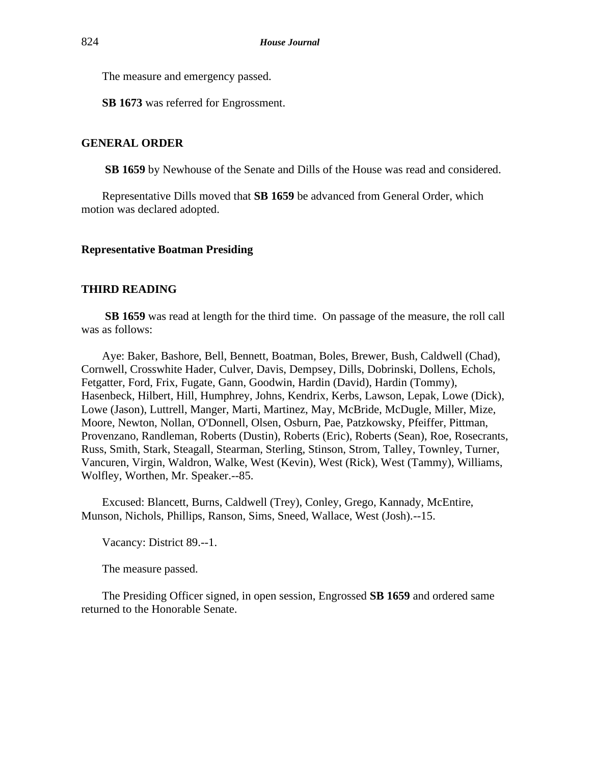The measure and emergency passed.

**SB 1673** was referred for Engrossment.

## **GENERAL ORDER**

**SB 1659** by Newhouse of the Senate and Dills of the House was read and considered.

Representative Dills moved that **SB 1659** be advanced from General Order, which motion was declared adopted.

### **Representative Boatman Presiding**

# **THIRD READING**

**SB 1659** was read at length for the third time. On passage of the measure, the roll call was as follows:

Aye: Baker, Bashore, Bell, Bennett, Boatman, Boles, Brewer, Bush, Caldwell (Chad), Cornwell, Crosswhite Hader, Culver, Davis, Dempsey, Dills, Dobrinski, Dollens, Echols, Fetgatter, Ford, Frix, Fugate, Gann, Goodwin, Hardin (David), Hardin (Tommy), Hasenbeck, Hilbert, Hill, Humphrey, Johns, Kendrix, Kerbs, Lawson, Lepak, Lowe (Dick), Lowe (Jason), Luttrell, Manger, Marti, Martinez, May, McBride, McDugle, Miller, Mize, Moore, Newton, Nollan, O'Donnell, Olsen, Osburn, Pae, Patzkowsky, Pfeiffer, Pittman, Provenzano, Randleman, Roberts (Dustin), Roberts (Eric), Roberts (Sean), Roe, Rosecrants, Russ, Smith, Stark, Steagall, Stearman, Sterling, Stinson, Strom, Talley, Townley, Turner, Vancuren, Virgin, Waldron, Walke, West (Kevin), West (Rick), West (Tammy), Williams, Wolfley, Worthen, Mr. Speaker.--85.

Excused: Blancett, Burns, Caldwell (Trey), Conley, Grego, Kannady, McEntire, Munson, Nichols, Phillips, Ranson, Sims, Sneed, Wallace, West (Josh).--15.

Vacancy: District 89.--1.

The measure passed.

The Presiding Officer signed, in open session, Engrossed **SB 1659** and ordered same returned to the Honorable Senate.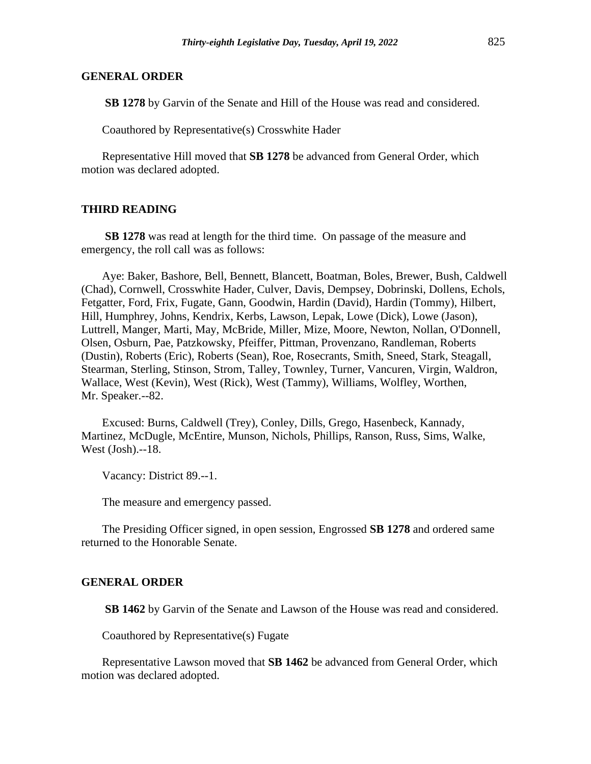#### **GENERAL ORDER**

**SB 1278** by Garvin of the Senate and Hill of the House was read and considered.

Coauthored by Representative(s) Crosswhite Hader

Representative Hill moved that **SB 1278** be advanced from General Order, which motion was declared adopted.

#### **THIRD READING**

**SB 1278** was read at length for the third time. On passage of the measure and emergency, the roll call was as follows:

Aye: Baker, Bashore, Bell, Bennett, Blancett, Boatman, Boles, Brewer, Bush, Caldwell (Chad), Cornwell, Crosswhite Hader, Culver, Davis, Dempsey, Dobrinski, Dollens, Echols, Fetgatter, Ford, Frix, Fugate, Gann, Goodwin, Hardin (David), Hardin (Tommy), Hilbert, Hill, Humphrey, Johns, Kendrix, Kerbs, Lawson, Lepak, Lowe (Dick), Lowe (Jason), Luttrell, Manger, Marti, May, McBride, Miller, Mize, Moore, Newton, Nollan, O'Donnell, Olsen, Osburn, Pae, Patzkowsky, Pfeiffer, Pittman, Provenzano, Randleman, Roberts (Dustin), Roberts (Eric), Roberts (Sean), Roe, Rosecrants, Smith, Sneed, Stark, Steagall, Stearman, Sterling, Stinson, Strom, Talley, Townley, Turner, Vancuren, Virgin, Waldron, Wallace, West (Kevin), West (Rick), West (Tammy), Williams, Wolfley, Worthen, Mr. Speaker.--82.

Excused: Burns, Caldwell (Trey), Conley, Dills, Grego, Hasenbeck, Kannady, Martinez, McDugle, McEntire, Munson, Nichols, Phillips, Ranson, Russ, Sims, Walke, West (Josh).--18.

Vacancy: District 89.--1.

The measure and emergency passed.

The Presiding Officer signed, in open session, Engrossed **SB 1278** and ordered same returned to the Honorable Senate.

#### **GENERAL ORDER**

**SB 1462** by Garvin of the Senate and Lawson of the House was read and considered.

Coauthored by Representative(s) Fugate

Representative Lawson moved that **SB 1462** be advanced from General Order, which motion was declared adopted.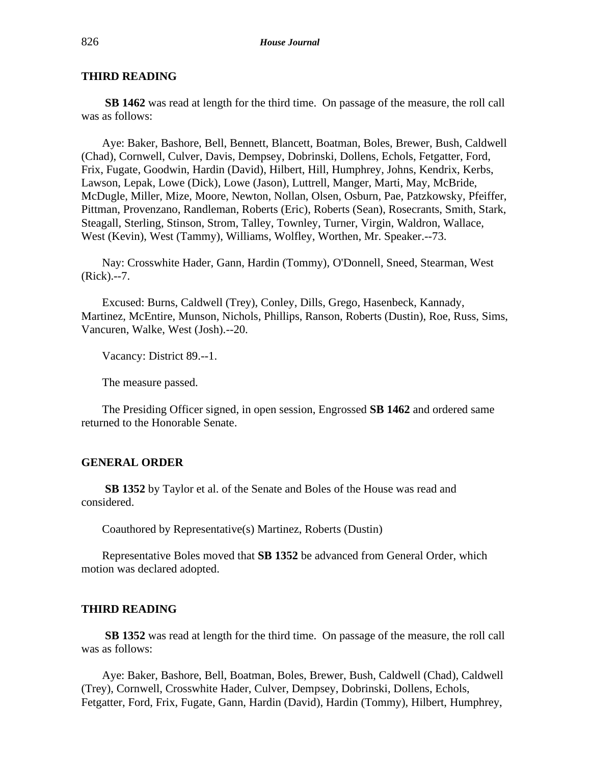**SB 1462** was read at length for the third time. On passage of the measure, the roll call was as follows:

Aye: Baker, Bashore, Bell, Bennett, Blancett, Boatman, Boles, Brewer, Bush, Caldwell (Chad), Cornwell, Culver, Davis, Dempsey, Dobrinski, Dollens, Echols, Fetgatter, Ford, Frix, Fugate, Goodwin, Hardin (David), Hilbert, Hill, Humphrey, Johns, Kendrix, Kerbs, Lawson, Lepak, Lowe (Dick), Lowe (Jason), Luttrell, Manger, Marti, May, McBride, McDugle, Miller, Mize, Moore, Newton, Nollan, Olsen, Osburn, Pae, Patzkowsky, Pfeiffer, Pittman, Provenzano, Randleman, Roberts (Eric), Roberts (Sean), Rosecrants, Smith, Stark, Steagall, Sterling, Stinson, Strom, Talley, Townley, Turner, Virgin, Waldron, Wallace, West (Kevin), West (Tammy), Williams, Wolfley, Worthen, Mr. Speaker.--73.

Nay: Crosswhite Hader, Gann, Hardin (Tommy), O'Donnell, Sneed, Stearman, West (Rick).--7.

Excused: Burns, Caldwell (Trey), Conley, Dills, Grego, Hasenbeck, Kannady, Martinez, McEntire, Munson, Nichols, Phillips, Ranson, Roberts (Dustin), Roe, Russ, Sims, Vancuren, Walke, West (Josh).--20.

Vacancy: District 89.--1.

The measure passed.

The Presiding Officer signed, in open session, Engrossed **SB 1462** and ordered same returned to the Honorable Senate.

#### **GENERAL ORDER**

**SB 1352** by Taylor et al. of the Senate and Boles of the House was read and considered.

Coauthored by Representative(s) Martinez, Roberts (Dustin)

Representative Boles moved that **SB 1352** be advanced from General Order, which motion was declared adopted.

#### **THIRD READING**

**SB 1352** was read at length for the third time. On passage of the measure, the roll call was as follows:

Aye: Baker, Bashore, Bell, Boatman, Boles, Brewer, Bush, Caldwell (Chad), Caldwell (Trey), Cornwell, Crosswhite Hader, Culver, Dempsey, Dobrinski, Dollens, Echols, Fetgatter, Ford, Frix, Fugate, Gann, Hardin (David), Hardin (Tommy), Hilbert, Humphrey,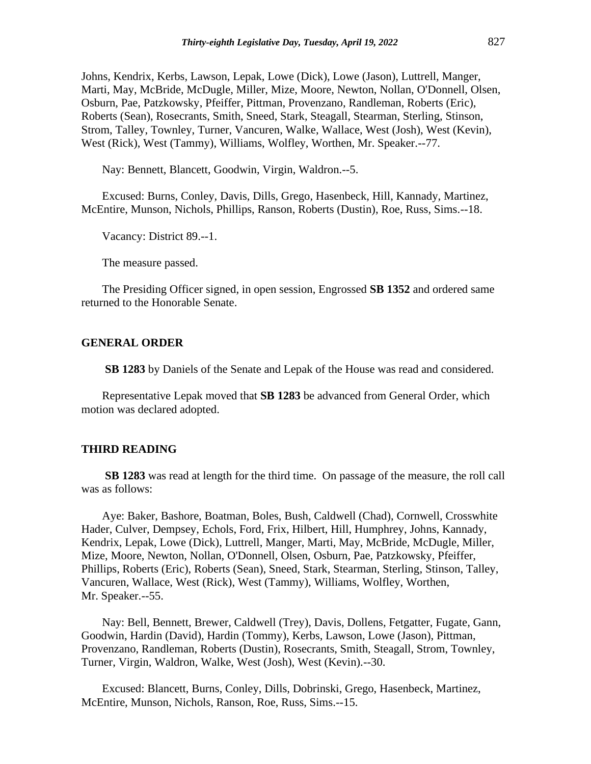Johns, Kendrix, Kerbs, Lawson, Lepak, Lowe (Dick), Lowe (Jason), Luttrell, Manger, Marti, May, McBride, McDugle, Miller, Mize, Moore, Newton, Nollan, O'Donnell, Olsen, Osburn, Pae, Patzkowsky, Pfeiffer, Pittman, Provenzano, Randleman, Roberts (Eric), Roberts (Sean), Rosecrants, Smith, Sneed, Stark, Steagall, Stearman, Sterling, Stinson, Strom, Talley, Townley, Turner, Vancuren, Walke, Wallace, West (Josh), West (Kevin), West (Rick), West (Tammy), Williams, Wolfley, Worthen, Mr. Speaker.--77.

Nay: Bennett, Blancett, Goodwin, Virgin, Waldron.--5.

Excused: Burns, Conley, Davis, Dills, Grego, Hasenbeck, Hill, Kannady, Martinez, McEntire, Munson, Nichols, Phillips, Ranson, Roberts (Dustin), Roe, Russ, Sims.--18.

Vacancy: District 89.--1.

The measure passed.

The Presiding Officer signed, in open session, Engrossed **SB 1352** and ordered same returned to the Honorable Senate.

#### **GENERAL ORDER**

**SB 1283** by Daniels of the Senate and Lepak of the House was read and considered.

Representative Lepak moved that **SB 1283** be advanced from General Order, which motion was declared adopted.

#### **THIRD READING**

**SB 1283** was read at length for the third time. On passage of the measure, the roll call was as follows:

Aye: Baker, Bashore, Boatman, Boles, Bush, Caldwell (Chad), Cornwell, Crosswhite Hader, Culver, Dempsey, Echols, Ford, Frix, Hilbert, Hill, Humphrey, Johns, Kannady, Kendrix, Lepak, Lowe (Dick), Luttrell, Manger, Marti, May, McBride, McDugle, Miller, Mize, Moore, Newton, Nollan, O'Donnell, Olsen, Osburn, Pae, Patzkowsky, Pfeiffer, Phillips, Roberts (Eric), Roberts (Sean), Sneed, Stark, Stearman, Sterling, Stinson, Talley, Vancuren, Wallace, West (Rick), West (Tammy), Williams, Wolfley, Worthen, Mr. Speaker.--55.

Nay: Bell, Bennett, Brewer, Caldwell (Trey), Davis, Dollens, Fetgatter, Fugate, Gann, Goodwin, Hardin (David), Hardin (Tommy), Kerbs, Lawson, Lowe (Jason), Pittman, Provenzano, Randleman, Roberts (Dustin), Rosecrants, Smith, Steagall, Strom, Townley, Turner, Virgin, Waldron, Walke, West (Josh), West (Kevin).--30.

Excused: Blancett, Burns, Conley, Dills, Dobrinski, Grego, Hasenbeck, Martinez, McEntire, Munson, Nichols, Ranson, Roe, Russ, Sims.--15.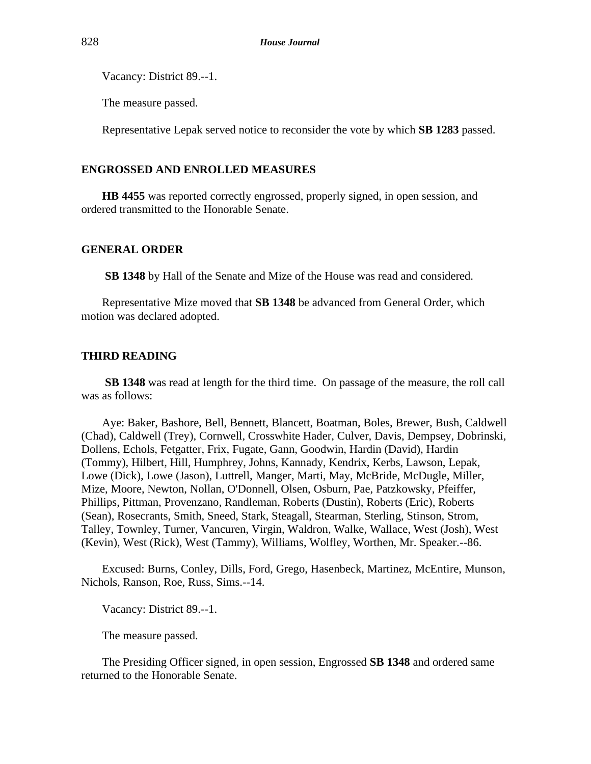Vacancy: District 89.--1.

The measure passed.

Representative Lepak served notice to reconsider the vote by which **SB 1283** passed.

#### **ENGROSSED AND ENROLLED MEASURES**

**HB 4455** was reported correctly engrossed, properly signed, in open session, and ordered transmitted to the Honorable Senate.

#### **GENERAL ORDER**

**SB 1348** by Hall of the Senate and Mize of the House was read and considered.

Representative Mize moved that **SB 1348** be advanced from General Order, which motion was declared adopted.

#### **THIRD READING**

**SB 1348** was read at length for the third time. On passage of the measure, the roll call was as follows:

Aye: Baker, Bashore, Bell, Bennett, Blancett, Boatman, Boles, Brewer, Bush, Caldwell (Chad), Caldwell (Trey), Cornwell, Crosswhite Hader, Culver, Davis, Dempsey, Dobrinski, Dollens, Echols, Fetgatter, Frix, Fugate, Gann, Goodwin, Hardin (David), Hardin (Tommy), Hilbert, Hill, Humphrey, Johns, Kannady, Kendrix, Kerbs, Lawson, Lepak, Lowe (Dick), Lowe (Jason), Luttrell, Manger, Marti, May, McBride, McDugle, Miller, Mize, Moore, Newton, Nollan, O'Donnell, Olsen, Osburn, Pae, Patzkowsky, Pfeiffer, Phillips, Pittman, Provenzano, Randleman, Roberts (Dustin), Roberts (Eric), Roberts (Sean), Rosecrants, Smith, Sneed, Stark, Steagall, Stearman, Sterling, Stinson, Strom, Talley, Townley, Turner, Vancuren, Virgin, Waldron, Walke, Wallace, West (Josh), West (Kevin), West (Rick), West (Tammy), Williams, Wolfley, Worthen, Mr. Speaker.--86.

Excused: Burns, Conley, Dills, Ford, Grego, Hasenbeck, Martinez, McEntire, Munson, Nichols, Ranson, Roe, Russ, Sims.--14.

Vacancy: District 89.--1.

The measure passed.

The Presiding Officer signed, in open session, Engrossed **SB 1348** and ordered same returned to the Honorable Senate.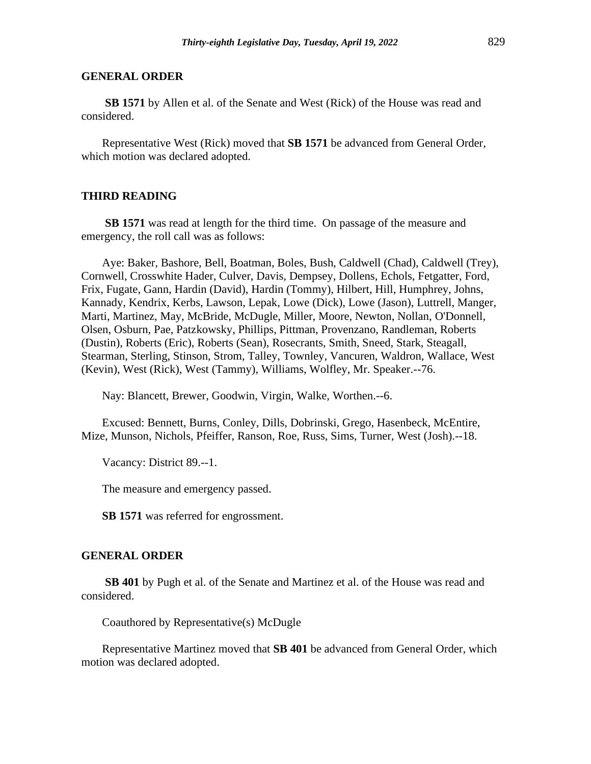#### **GENERAL ORDER**

**SB 1571** by Allen et al. of the Senate and West (Rick) of the House was read and considered.

Representative West (Rick) moved that **SB 1571** be advanced from General Order, which motion was declared adopted.

#### **THIRD READING**

**SB 1571** was read at length for the third time. On passage of the measure and emergency, the roll call was as follows:

Aye: Baker, Bashore, Bell, Boatman, Boles, Bush, Caldwell (Chad), Caldwell (Trey), Cornwell, Crosswhite Hader, Culver, Davis, Dempsey, Dollens, Echols, Fetgatter, Ford, Frix, Fugate, Gann, Hardin (David), Hardin (Tommy), Hilbert, Hill, Humphrey, Johns, Kannady, Kendrix, Kerbs, Lawson, Lepak, Lowe (Dick), Lowe (Jason), Luttrell, Manger, Marti, Martinez, May, McBride, McDugle, Miller, Moore, Newton, Nollan, O'Donnell, Olsen, Osburn, Pae, Patzkowsky, Phillips, Pittman, Provenzano, Randleman, Roberts (Dustin), Roberts (Eric), Roberts (Sean), Rosecrants, Smith, Sneed, Stark, Steagall, Stearman, Sterling, Stinson, Strom, Talley, Townley, Vancuren, Waldron, Wallace, West (Kevin), West (Rick), West (Tammy), Williams, Wolfley, Mr. Speaker.--76.

Nay: Blancett, Brewer, Goodwin, Virgin, Walke, Worthen.--6.

Excused: Bennett, Burns, Conley, Dills, Dobrinski, Grego, Hasenbeck, McEntire, Mize, Munson, Nichols, Pfeiffer, Ranson, Roe, Russ, Sims, Turner, West (Josh).--18.

Vacancy: District 89.--1.

The measure and emergency passed.

**SB 1571** was referred for engrossment.

#### **GENERAL ORDER**

**SB 401** by Pugh et al. of the Senate and Martinez et al. of the House was read and considered.

Coauthored by Representative(s) McDugle

Representative Martinez moved that **SB 401** be advanced from General Order, which motion was declared adopted.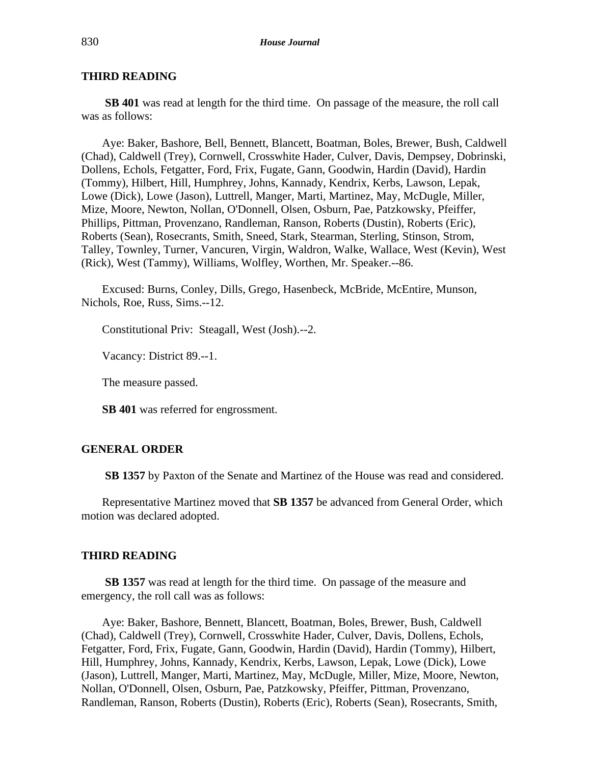**SB 401** was read at length for the third time. On passage of the measure, the roll call was as follows:

Aye: Baker, Bashore, Bell, Bennett, Blancett, Boatman, Boles, Brewer, Bush, Caldwell (Chad), Caldwell (Trey), Cornwell, Crosswhite Hader, Culver, Davis, Dempsey, Dobrinski, Dollens, Echols, Fetgatter, Ford, Frix, Fugate, Gann, Goodwin, Hardin (David), Hardin (Tommy), Hilbert, Hill, Humphrey, Johns, Kannady, Kendrix, Kerbs, Lawson, Lepak, Lowe (Dick), Lowe (Jason), Luttrell, Manger, Marti, Martinez, May, McDugle, Miller, Mize, Moore, Newton, Nollan, O'Donnell, Olsen, Osburn, Pae, Patzkowsky, Pfeiffer, Phillips, Pittman, Provenzano, Randleman, Ranson, Roberts (Dustin), Roberts (Eric), Roberts (Sean), Rosecrants, Smith, Sneed, Stark, Stearman, Sterling, Stinson, Strom, Talley, Townley, Turner, Vancuren, Virgin, Waldron, Walke, Wallace, West (Kevin), West (Rick), West (Tammy), Williams, Wolfley, Worthen, Mr. Speaker.--86.

Excused: Burns, Conley, Dills, Grego, Hasenbeck, McBride, McEntire, Munson, Nichols, Roe, Russ, Sims.--12.

Constitutional Priv: Steagall, West (Josh).--2.

Vacancy: District 89.--1.

The measure passed.

**SB 401** was referred for engrossment.

#### **GENERAL ORDER**

**SB 1357** by Paxton of the Senate and Martinez of the House was read and considered.

Representative Martinez moved that **SB 1357** be advanced from General Order, which motion was declared adopted.

#### **THIRD READING**

**SB 1357** was read at length for the third time. On passage of the measure and emergency, the roll call was as follows:

Aye: Baker, Bashore, Bennett, Blancett, Boatman, Boles, Brewer, Bush, Caldwell (Chad), Caldwell (Trey), Cornwell, Crosswhite Hader, Culver, Davis, Dollens, Echols, Fetgatter, Ford, Frix, Fugate, Gann, Goodwin, Hardin (David), Hardin (Tommy), Hilbert, Hill, Humphrey, Johns, Kannady, Kendrix, Kerbs, Lawson, Lepak, Lowe (Dick), Lowe (Jason), Luttrell, Manger, Marti, Martinez, May, McDugle, Miller, Mize, Moore, Newton, Nollan, O'Donnell, Olsen, Osburn, Pae, Patzkowsky, Pfeiffer, Pittman, Provenzano, Randleman, Ranson, Roberts (Dustin), Roberts (Eric), Roberts (Sean), Rosecrants, Smith,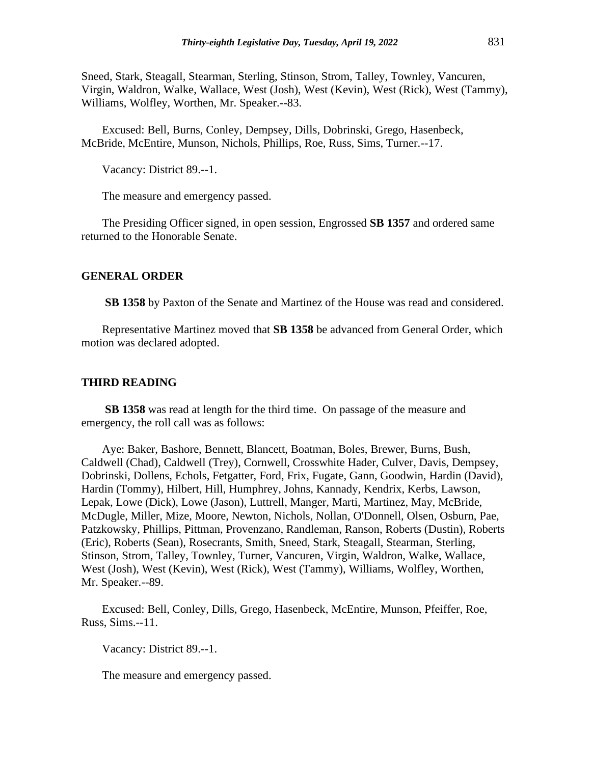Sneed, Stark, Steagall, Stearman, Sterling, Stinson, Strom, Talley, Townley, Vancuren, Virgin, Waldron, Walke, Wallace, West (Josh), West (Kevin), West (Rick), West (Tammy), Williams, Wolfley, Worthen, Mr. Speaker.--83.

Excused: Bell, Burns, Conley, Dempsey, Dills, Dobrinski, Grego, Hasenbeck, McBride, McEntire, Munson, Nichols, Phillips, Roe, Russ, Sims, Turner.--17.

Vacancy: District 89.--1.

The measure and emergency passed.

The Presiding Officer signed, in open session, Engrossed **SB 1357** and ordered same returned to the Honorable Senate.

#### **GENERAL ORDER**

**SB 1358** by Paxton of the Senate and Martinez of the House was read and considered.

Representative Martinez moved that **SB 1358** be advanced from General Order, which motion was declared adopted.

#### **THIRD READING**

**SB 1358** was read at length for the third time. On passage of the measure and emergency, the roll call was as follows:

Aye: Baker, Bashore, Bennett, Blancett, Boatman, Boles, Brewer, Burns, Bush, Caldwell (Chad), Caldwell (Trey), Cornwell, Crosswhite Hader, Culver, Davis, Dempsey, Dobrinski, Dollens, Echols, Fetgatter, Ford, Frix, Fugate, Gann, Goodwin, Hardin (David), Hardin (Tommy), Hilbert, Hill, Humphrey, Johns, Kannady, Kendrix, Kerbs, Lawson, Lepak, Lowe (Dick), Lowe (Jason), Luttrell, Manger, Marti, Martinez, May, McBride, McDugle, Miller, Mize, Moore, Newton, Nichols, Nollan, O'Donnell, Olsen, Osburn, Pae, Patzkowsky, Phillips, Pittman, Provenzano, Randleman, Ranson, Roberts (Dustin), Roberts (Eric), Roberts (Sean), Rosecrants, Smith, Sneed, Stark, Steagall, Stearman, Sterling, Stinson, Strom, Talley, Townley, Turner, Vancuren, Virgin, Waldron, Walke, Wallace, West (Josh), West (Kevin), West (Rick), West (Tammy), Williams, Wolfley, Worthen, Mr. Speaker.--89.

Excused: Bell, Conley, Dills, Grego, Hasenbeck, McEntire, Munson, Pfeiffer, Roe, Russ, Sims.--11.

Vacancy: District 89.--1.

The measure and emergency passed.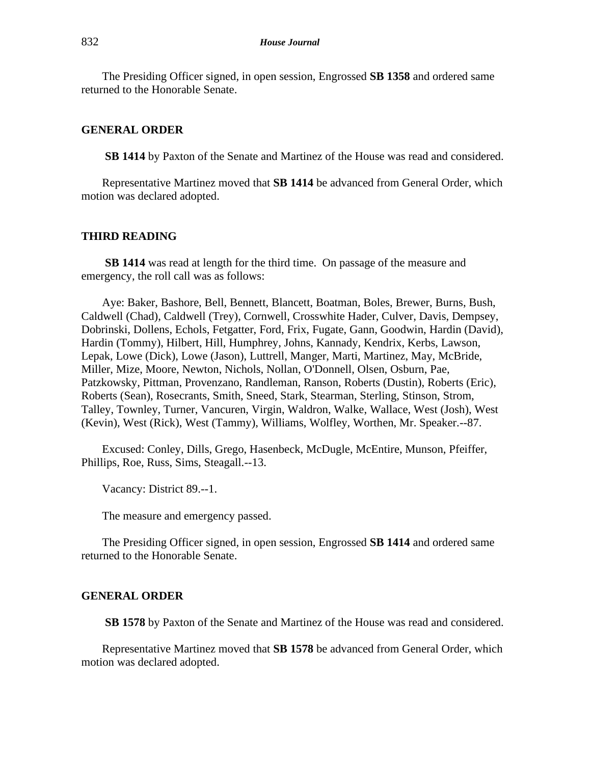The Presiding Officer signed, in open session, Engrossed **SB 1358** and ordered same returned to the Honorable Senate.

#### **GENERAL ORDER**

**SB 1414** by Paxton of the Senate and Martinez of the House was read and considered.

Representative Martinez moved that **SB 1414** be advanced from General Order, which motion was declared adopted.

#### **THIRD READING**

**SB 1414** was read at length for the third time. On passage of the measure and emergency, the roll call was as follows:

Aye: Baker, Bashore, Bell, Bennett, Blancett, Boatman, Boles, Brewer, Burns, Bush, Caldwell (Chad), Caldwell (Trey), Cornwell, Crosswhite Hader, Culver, Davis, Dempsey, Dobrinski, Dollens, Echols, Fetgatter, Ford, Frix, Fugate, Gann, Goodwin, Hardin (David), Hardin (Tommy), Hilbert, Hill, Humphrey, Johns, Kannady, Kendrix, Kerbs, Lawson, Lepak, Lowe (Dick), Lowe (Jason), Luttrell, Manger, Marti, Martinez, May, McBride, Miller, Mize, Moore, Newton, Nichols, Nollan, O'Donnell, Olsen, Osburn, Pae, Patzkowsky, Pittman, Provenzano, Randleman, Ranson, Roberts (Dustin), Roberts (Eric), Roberts (Sean), Rosecrants, Smith, Sneed, Stark, Stearman, Sterling, Stinson, Strom, Talley, Townley, Turner, Vancuren, Virgin, Waldron, Walke, Wallace, West (Josh), West (Kevin), West (Rick), West (Tammy), Williams, Wolfley, Worthen, Mr. Speaker.--87.

Excused: Conley, Dills, Grego, Hasenbeck, McDugle, McEntire, Munson, Pfeiffer, Phillips, Roe, Russ, Sims, Steagall.--13.

Vacancy: District 89.--1.

The measure and emergency passed.

The Presiding Officer signed, in open session, Engrossed **SB 1414** and ordered same returned to the Honorable Senate.

#### **GENERAL ORDER**

**SB 1578** by Paxton of the Senate and Martinez of the House was read and considered.

Representative Martinez moved that **SB 1578** be advanced from General Order, which motion was declared adopted.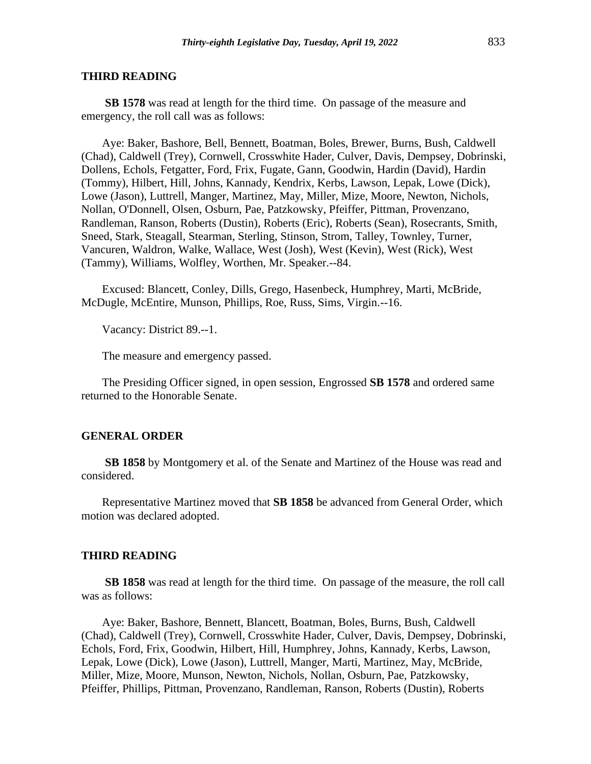**SB 1578** was read at length for the third time. On passage of the measure and emergency, the roll call was as follows:

Aye: Baker, Bashore, Bell, Bennett, Boatman, Boles, Brewer, Burns, Bush, Caldwell (Chad), Caldwell (Trey), Cornwell, Crosswhite Hader, Culver, Davis, Dempsey, Dobrinski, Dollens, Echols, Fetgatter, Ford, Frix, Fugate, Gann, Goodwin, Hardin (David), Hardin (Tommy), Hilbert, Hill, Johns, Kannady, Kendrix, Kerbs, Lawson, Lepak, Lowe (Dick), Lowe (Jason), Luttrell, Manger, Martinez, May, Miller, Mize, Moore, Newton, Nichols, Nollan, O'Donnell, Olsen, Osburn, Pae, Patzkowsky, Pfeiffer, Pittman, Provenzano, Randleman, Ranson, Roberts (Dustin), Roberts (Eric), Roberts (Sean), Rosecrants, Smith, Sneed, Stark, Steagall, Stearman, Sterling, Stinson, Strom, Talley, Townley, Turner, Vancuren, Waldron, Walke, Wallace, West (Josh), West (Kevin), West (Rick), West (Tammy), Williams, Wolfley, Worthen, Mr. Speaker.--84.

Excused: Blancett, Conley, Dills, Grego, Hasenbeck, Humphrey, Marti, McBride, McDugle, McEntire, Munson, Phillips, Roe, Russ, Sims, Virgin.--16.

Vacancy: District 89.--1.

The measure and emergency passed.

The Presiding Officer signed, in open session, Engrossed **SB 1578** and ordered same returned to the Honorable Senate.

#### **GENERAL ORDER**

**SB 1858** by Montgomery et al. of the Senate and Martinez of the House was read and considered.

Representative Martinez moved that **SB 1858** be advanced from General Order, which motion was declared adopted.

#### **THIRD READING**

**SB 1858** was read at length for the third time. On passage of the measure, the roll call was as follows:

Aye: Baker, Bashore, Bennett, Blancett, Boatman, Boles, Burns, Bush, Caldwell (Chad), Caldwell (Trey), Cornwell, Crosswhite Hader, Culver, Davis, Dempsey, Dobrinski, Echols, Ford, Frix, Goodwin, Hilbert, Hill, Humphrey, Johns, Kannady, Kerbs, Lawson, Lepak, Lowe (Dick), Lowe (Jason), Luttrell, Manger, Marti, Martinez, May, McBride, Miller, Mize, Moore, Munson, Newton, Nichols, Nollan, Osburn, Pae, Patzkowsky, Pfeiffer, Phillips, Pittman, Provenzano, Randleman, Ranson, Roberts (Dustin), Roberts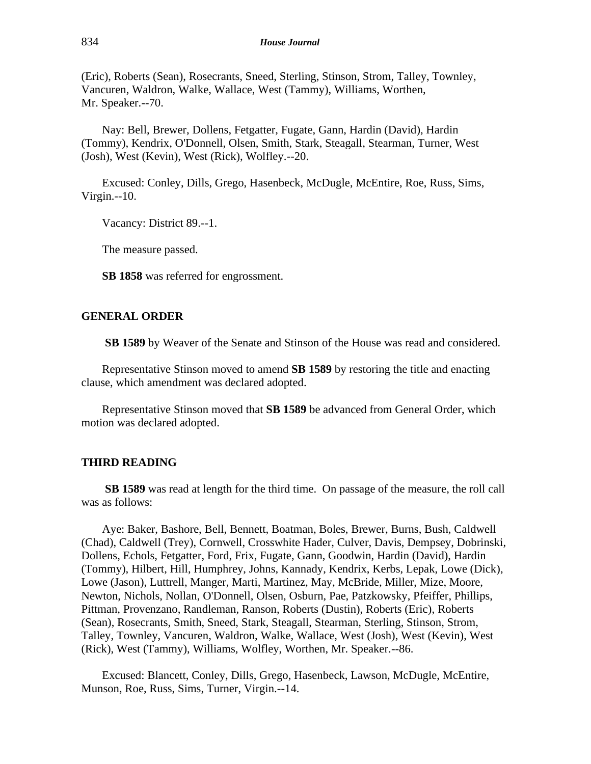(Eric), Roberts (Sean), Rosecrants, Sneed, Sterling, Stinson, Strom, Talley, Townley, Vancuren, Waldron, Walke, Wallace, West (Tammy), Williams, Worthen, Mr. Speaker.--70.

Nay: Bell, Brewer, Dollens, Fetgatter, Fugate, Gann, Hardin (David), Hardin (Tommy), Kendrix, O'Donnell, Olsen, Smith, Stark, Steagall, Stearman, Turner, West (Josh), West (Kevin), West (Rick), Wolfley.--20.

Excused: Conley, Dills, Grego, Hasenbeck, McDugle, McEntire, Roe, Russ, Sims, Virgin.--10.

Vacancy: District 89.--1.

The measure passed.

**SB 1858** was referred for engrossment.

#### **GENERAL ORDER**

**SB 1589** by Weaver of the Senate and Stinson of the House was read and considered.

Representative Stinson moved to amend **SB 1589** by restoring the title and enacting clause, which amendment was declared adopted.

Representative Stinson moved that **SB 1589** be advanced from General Order, which motion was declared adopted.

#### **THIRD READING**

**SB 1589** was read at length for the third time. On passage of the measure, the roll call was as follows:

Aye: Baker, Bashore, Bell, Bennett, Boatman, Boles, Brewer, Burns, Bush, Caldwell (Chad), Caldwell (Trey), Cornwell, Crosswhite Hader, Culver, Davis, Dempsey, Dobrinski, Dollens, Echols, Fetgatter, Ford, Frix, Fugate, Gann, Goodwin, Hardin (David), Hardin (Tommy), Hilbert, Hill, Humphrey, Johns, Kannady, Kendrix, Kerbs, Lepak, Lowe (Dick), Lowe (Jason), Luttrell, Manger, Marti, Martinez, May, McBride, Miller, Mize, Moore, Newton, Nichols, Nollan, O'Donnell, Olsen, Osburn, Pae, Patzkowsky, Pfeiffer, Phillips, Pittman, Provenzano, Randleman, Ranson, Roberts (Dustin), Roberts (Eric), Roberts (Sean), Rosecrants, Smith, Sneed, Stark, Steagall, Stearman, Sterling, Stinson, Strom, Talley, Townley, Vancuren, Waldron, Walke, Wallace, West (Josh), West (Kevin), West (Rick), West (Tammy), Williams, Wolfley, Worthen, Mr. Speaker.--86.

Excused: Blancett, Conley, Dills, Grego, Hasenbeck, Lawson, McDugle, McEntire, Munson, Roe, Russ, Sims, Turner, Virgin.--14.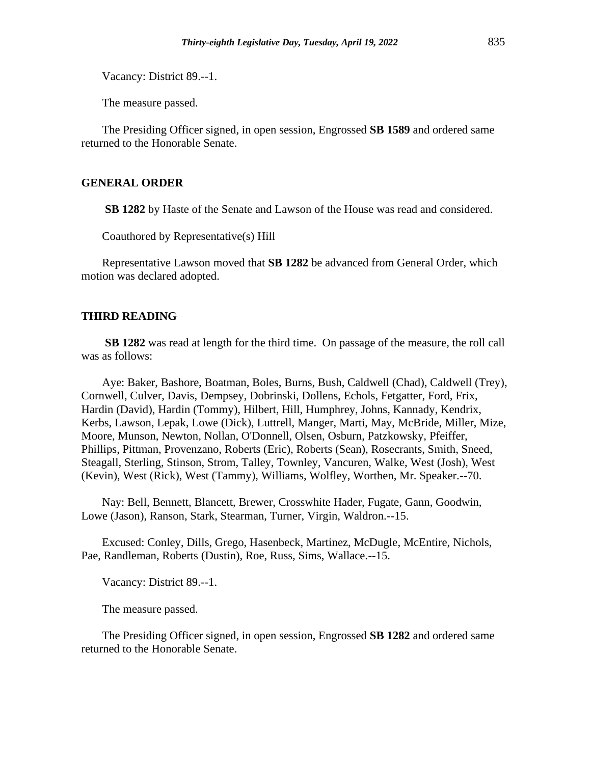Vacancy: District 89.--1.

The measure passed.

The Presiding Officer signed, in open session, Engrossed **SB 1589** and ordered same returned to the Honorable Senate.

### **GENERAL ORDER**

**SB 1282** by Haste of the Senate and Lawson of the House was read and considered.

Coauthored by Representative(s) Hill

Representative Lawson moved that **SB 1282** be advanced from General Order, which motion was declared adopted.

#### **THIRD READING**

**SB 1282** was read at length for the third time. On passage of the measure, the roll call was as follows:

Aye: Baker, Bashore, Boatman, Boles, Burns, Bush, Caldwell (Chad), Caldwell (Trey), Cornwell, Culver, Davis, Dempsey, Dobrinski, Dollens, Echols, Fetgatter, Ford, Frix, Hardin (David), Hardin (Tommy), Hilbert, Hill, Humphrey, Johns, Kannady, Kendrix, Kerbs, Lawson, Lepak, Lowe (Dick), Luttrell, Manger, Marti, May, McBride, Miller, Mize, Moore, Munson, Newton, Nollan, O'Donnell, Olsen, Osburn, Patzkowsky, Pfeiffer, Phillips, Pittman, Provenzano, Roberts (Eric), Roberts (Sean), Rosecrants, Smith, Sneed, Steagall, Sterling, Stinson, Strom, Talley, Townley, Vancuren, Walke, West (Josh), West (Kevin), West (Rick), West (Tammy), Williams, Wolfley, Worthen, Mr. Speaker.--70.

Nay: Bell, Bennett, Blancett, Brewer, Crosswhite Hader, Fugate, Gann, Goodwin, Lowe (Jason), Ranson, Stark, Stearman, Turner, Virgin, Waldron.--15.

Excused: Conley, Dills, Grego, Hasenbeck, Martinez, McDugle, McEntire, Nichols, Pae, Randleman, Roberts (Dustin), Roe, Russ, Sims, Wallace.--15.

Vacancy: District 89.--1.

The measure passed.

The Presiding Officer signed, in open session, Engrossed **SB 1282** and ordered same returned to the Honorable Senate.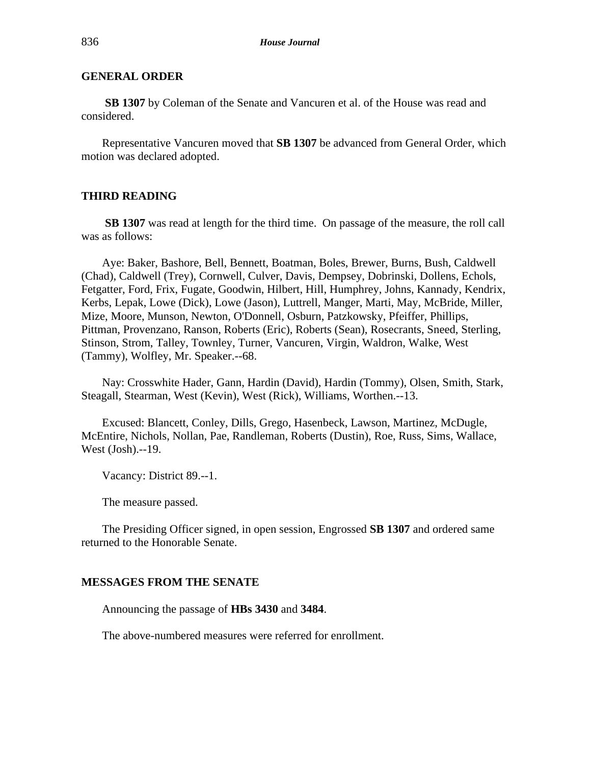# **GENERAL ORDER**

**SB 1307** by Coleman of the Senate and Vancuren et al. of the House was read and considered.

Representative Vancuren moved that **SB 1307** be advanced from General Order, which motion was declared adopted.

## **THIRD READING**

**SB 1307** was read at length for the third time. On passage of the measure, the roll call was as follows:

Aye: Baker, Bashore, Bell, Bennett, Boatman, Boles, Brewer, Burns, Bush, Caldwell (Chad), Caldwell (Trey), Cornwell, Culver, Davis, Dempsey, Dobrinski, Dollens, Echols, Fetgatter, Ford, Frix, Fugate, Goodwin, Hilbert, Hill, Humphrey, Johns, Kannady, Kendrix, Kerbs, Lepak, Lowe (Dick), Lowe (Jason), Luttrell, Manger, Marti, May, McBride, Miller, Mize, Moore, Munson, Newton, O'Donnell, Osburn, Patzkowsky, Pfeiffer, Phillips, Pittman, Provenzano, Ranson, Roberts (Eric), Roberts (Sean), Rosecrants, Sneed, Sterling, Stinson, Strom, Talley, Townley, Turner, Vancuren, Virgin, Waldron, Walke, West (Tammy), Wolfley, Mr. Speaker.--68.

Nay: Crosswhite Hader, Gann, Hardin (David), Hardin (Tommy), Olsen, Smith, Stark, Steagall, Stearman, West (Kevin), West (Rick), Williams, Worthen.--13.

Excused: Blancett, Conley, Dills, Grego, Hasenbeck, Lawson, Martinez, McDugle, McEntire, Nichols, Nollan, Pae, Randleman, Roberts (Dustin), Roe, Russ, Sims, Wallace, West (Josh).--19.

Vacancy: District 89.--1.

The measure passed.

The Presiding Officer signed, in open session, Engrossed **SB 1307** and ordered same returned to the Honorable Senate.

#### **MESSAGES FROM THE SENATE**

Announcing the passage of **HBs 3430** and **3484**.

The above-numbered measures were referred for enrollment.